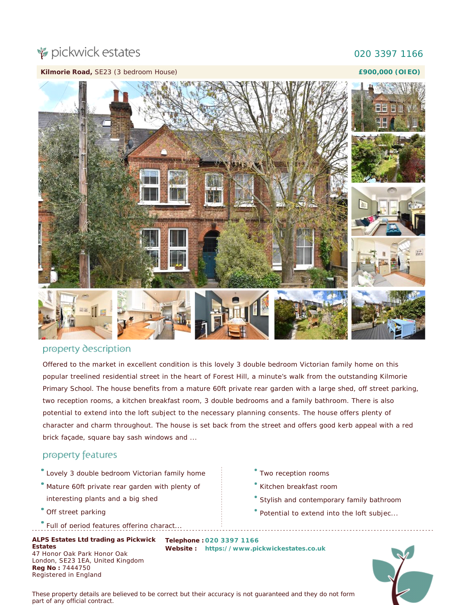# pickwick estates

## 020 3397 1166

#### **Kilmorie Road,** SE23 (3 bedroom House)

#### **£900,000 (OIEO)**



## property description

Offered to the market in excellent condition is this lovely 3 double bedroom Victorian family home on this popular treelined residential street in the heart of Forest Hill, a minute's walk from the outstanding Kilmorie Primary School. The house benefits from a mature 60ft private rear garden with a large shed, off street parking, two reception rooms, a kitchen breakfast room, 3 double bedrooms and a family bathroom. There is also potential to extend into the loft subject to the necessary planning consents. The house offers plenty of character and charm throughout. The house is set back from the street and offers good kerb appeal with a red brick façade, square bay sash windows and ...

## property features

- Lovely 3 double bedroom Victorian family home
- Mature 60ft private rear garden with plenty of interesting plants and a big shed
- Off street parking
- Full of period features offering charact.

**ALPS Estates Ltd trading as Pickwick Telephone : 020 3397 1166 Estates** 47 Honor Oak Park Honor Oak London, SE23 1EA, United Kingdom **Reg No :** 7444750 Registered in England

- Two reception rooms
- Kitchen breakfast room
- Stylish and contemporary family bathroom
- Potential to extend into the loft subjec...

**Website : [https://www.pickwickestates.co.uk](https://www.pickwickestates.co.uk/)**



*These property details are believed to be correct but their accuracy is not guaranteed and they do not form part of any official contract.*